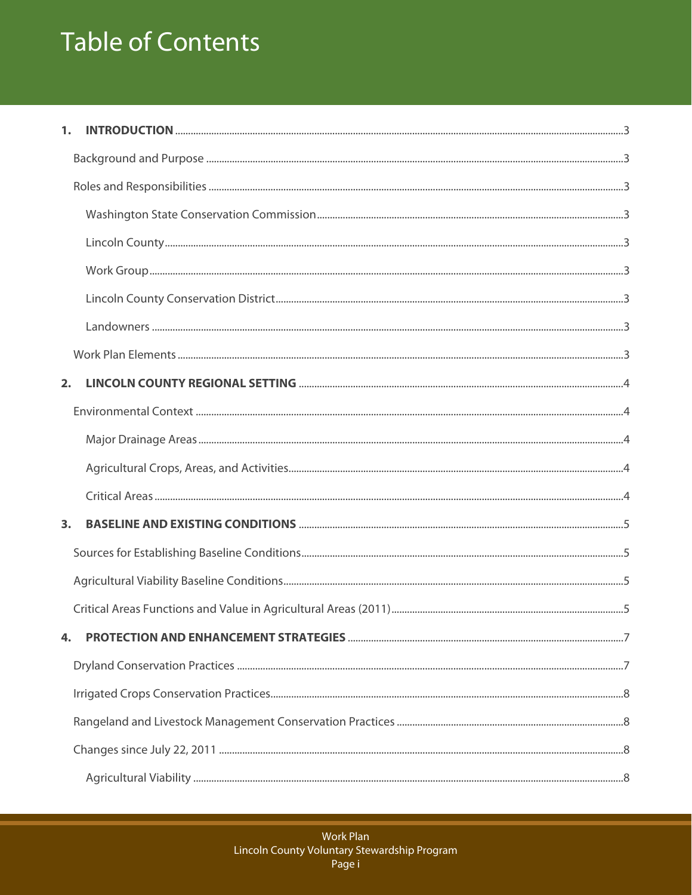# **Table of Contents**

| 1. |  |
|----|--|
|    |  |
|    |  |
|    |  |
|    |  |
|    |  |
|    |  |
|    |  |
|    |  |
| 2. |  |
|    |  |
|    |  |
|    |  |
|    |  |
| 3. |  |
|    |  |
|    |  |
|    |  |
| 4. |  |
|    |  |
|    |  |
|    |  |
|    |  |
|    |  |